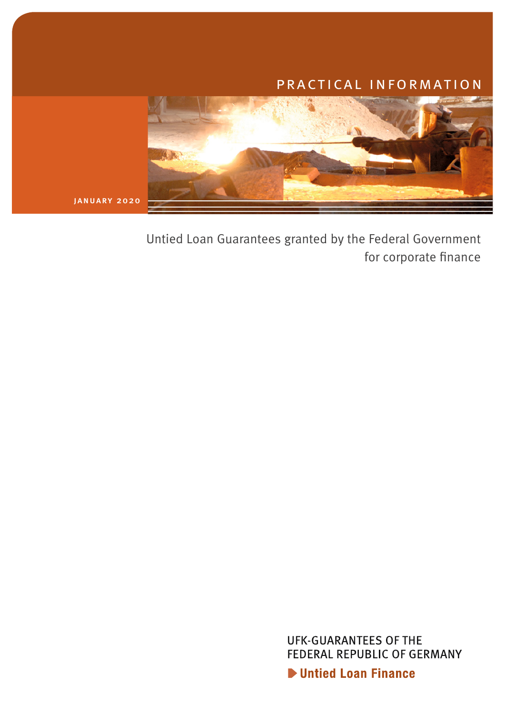# practical information



Untied Loan Guarantees granted by the Federal Government for corporate finance

> **UFK-GUARANTEES OF THE** FEDERAL REPUBLIC OF GERMANY **D** Untied Loan Finance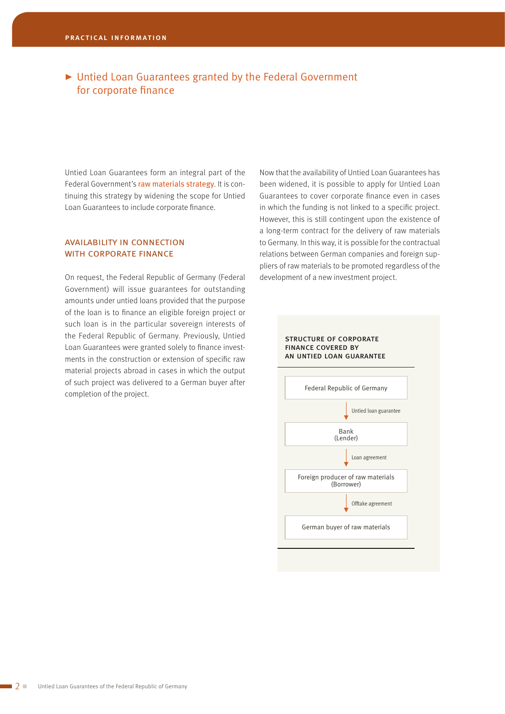## ▶ Untied Loan Guarantees granted by the Federal Government for corporate finance

Untied Loan Guarantees form an integral part of the Federal Government's raw materials strategy. It is continuing this strategy by widening the scope for Untied Loan Guarantees to include corporate finance.

#### availability in connection with corporate finance

On request, the Federal Republic of Germany (Federal Government) will issue guarantees for outstanding amounts under untied loans provided that the purpose of the loan is to finance an eligible foreign project or such loan is in the particular sovereign interests of the Federal Republic of Germany. Previously, Untied Loan Guarantees were granted solely to finance investments in the construction or extension of specific raw material projects abroad in cases in which the output of such project was delivered to a German buyer after completion of the project.

Now that the availability of Untied Loan Guarantees has been widened, it is possible to apply for Untied Loan Guarantees to cover corporate finance even in cases in which the funding is not linked to a specific project. However, this is still contingent upon the existence of a long-term contract for the delivery of raw materials to Germany. In this way, it is possible for the contractual relations between German companies and foreign suppliers of raw materials to be promoted regardless of the development of a new investment project.

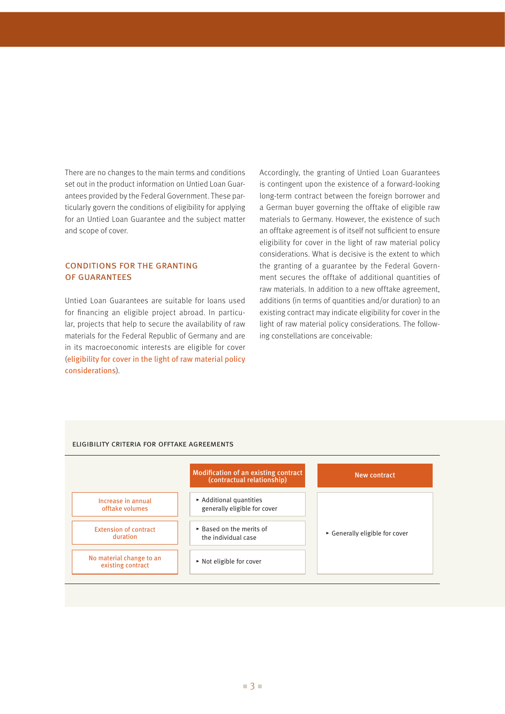There are no changes to the main terms and conditions set out in the product information on Untied Loan Guarantees provided by the Federal Government. These particularly govern the conditions of eligibility for applying for an Untied Loan Guarantee and the subject matter and scope of cover.

### conditions for the granting of guarantees

Untied Loan Guarantees are suitable for loans used for financing an eligible project abroad. In particular, projects that help to secure the availability of raw materials for the Federal Republic of Germany and are in its macroeconomic interests are eligible for cover (eligibility for cover in the light of raw material policy considerations).

Accordingly, the granting of Untied Loan Guarantees is contingent upon the existence of a forward-looking long-term contract between the foreign borrower and a German buyer governing the offtake of eligible raw materials to Germany. However, the existence of such an offtake agreement is of itself not sufficient to ensure eligibility for cover in the light of raw material policy considerations. What is decisive is the extent to which the granting of a guarantee by the Federal Government secures the offtake of additional quantities of raw materials. In addition to a new offtake agreement, additions (in terms of quantities and/or duration) to an existing contract may indicate eligibility for cover in the light of raw material policy considerations. The following constellations are conceivable:

#### ▸ Additional quantities generally eligible for cover ▸ Based on the merits of the individual case ▸ Not eligible for cover Modification of an existing contract (contractual relationship) ▸ Generally eligible for cover New contract Increase in annual offtake volumes Extension of contract duration No material change to an existing contract

#### eligibility criteria for offtake agreements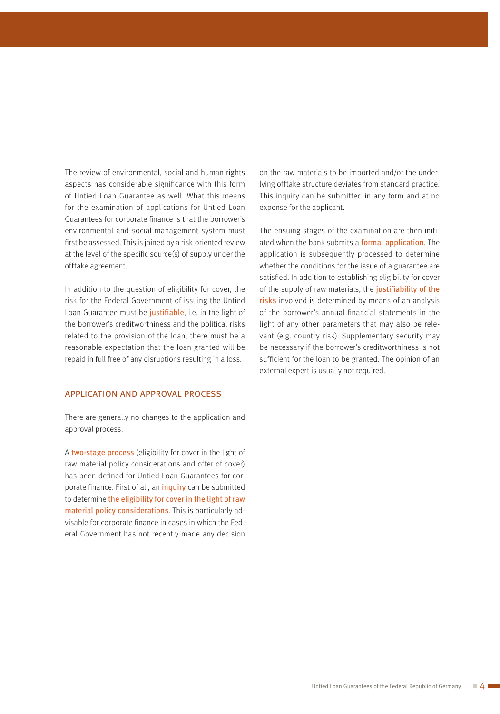The review of environmental, social and human rights aspects has considerable significance with this form of Untied Loan Guarantee as well. What this means for the examination of applications for Untied Loan Guarantees for corporate finance is that the borrower's environmental and social management system must first be assessed. This is joined by a risk-oriented review at the level of the specific source(s) of supply under the offtake agreement.

In addition to the question of eligibility for cover, the risk for the Federal Government of issuing the Untied Loan Guarantee must be justifiable, i.e. in the light of the borrower's creditworthiness and the political risks related to the provision of the loan, there must be a reasonable expectation that the loan granted will be repaid in full free of any disruptions resulting in a loss.

#### application and approval process

There are generally no changes to the application and approval process.

A two-stage process (eligibility for cover in the light of raw material policy considerations and offer of cover) has been defined for Untied Loan Guarantees for corporate finance. First of all, an inquiry can be submitted to determine the eligibility for cover in the light of raw material policy considerations. This is particularly advisable for corporate finance in cases in which the Federal Government has not recently made any decision

on the raw materials to be imported and/or the underlying offtake structure deviates from standard practice. This inquiry can be submitted in any form and at no expense for the applicant.

The ensuing stages of the examination are then initiated when the bank submits a formal application. The application is subsequently processed to determine whether the conditions for the issue of a guarantee are satisfied. In addition to establishing eligibility for cover of the supply of raw materials, the justifiability of the risks involved is determined by means of an analysis of the borrower's annual financial statements in the light of any other parameters that may also be relevant (e.g. country risk). Supplementary security may be necessary if the borrower's creditworthiness is not sufficient for the loan to be granted. The opinion of an external expert is usually not required.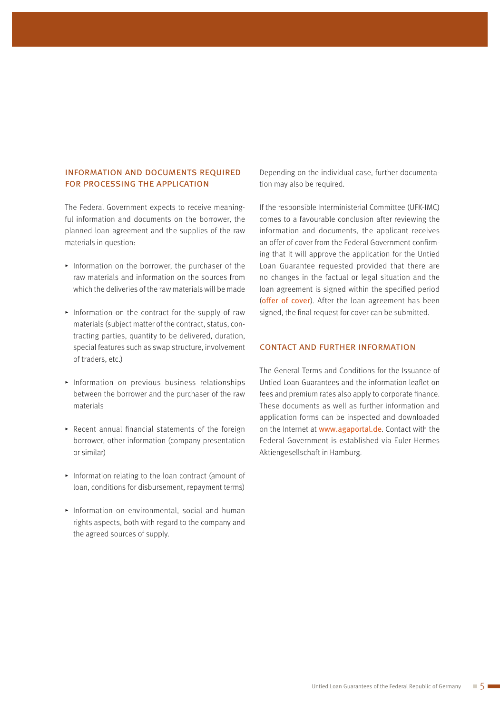#### information and documents required for processing the application

The Federal Government expects to receive meaningful information and documents on the borrower, the planned loan agreement and the supplies of the raw materials in question:

- $\blacktriangleright$  Information on the borrower, the purchaser of the raw materials and information on the sources from which the deliveries of the raw materials will be made
- $\blacktriangleright$  Information on the contract for the supply of raw materials (subject matter of the contract, status, contracting parties, quantity to be delivered, duration, special features such as swap structure, involvement of traders, etc.)
- $\blacktriangleright$  Information on previous business relationships between the borrower and the purchaser of the raw materials
- $\triangleright$  Recent annual financial statements of the foreign borrower, other information (company presentation or similar)
- $\blacktriangleright$  Information relating to the loan contract (amount of loan, conditions for disbursement, repayment terms)
- $\blacktriangleright$  Information on environmental, social and human rights aspects, both with regard to the company and the agreed sources of supply.

Depending on the individual case, further documentation may also be required.

If the responsible Interministerial Committee (UFK-IMC) comes to a favourable conclusion after reviewing the information and documents, the applicant receives an offer of cover from the Federal Government confirming that it will approve the application for the Untied Loan Guarantee requested provided that there are no changes in the factual or legal situation and the loan agreement is signed within the specified period (offer of cover). After the loan agreement has been signed, the final request for cover can be submitted.

#### contact and further information

The General Terms and Conditions for the Issuance of Untied Loan Guarantees and the information leaflet on fees and premium rates also apply to corporate finance. These documents as well as further information and application forms can be inspected and downloaded on the Internet at www.agaportal.de. Contact with the Federal Government is established via Euler Hermes Aktiengesellschaft in Hamburg.